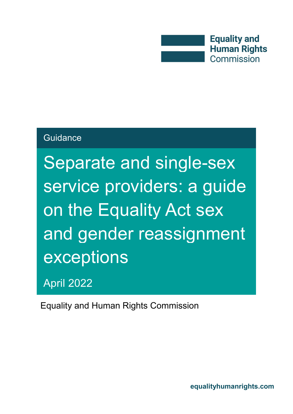

#### **Guidance**

Separate and single-sex service providers: a guide on the Equality Act sex and gender reassignment exceptions

April 2022

Equality and Human Rights Commission

**[equalityhumanrights.com](http://www.equalityhumanrights.com/)**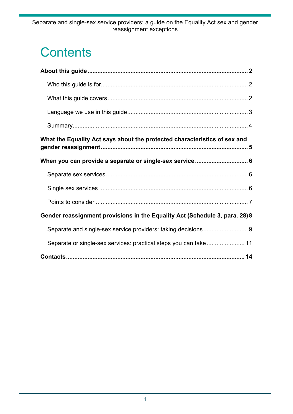## **Contents**

| What the Equality Act says about the protected characteristics of sex and   |
|-----------------------------------------------------------------------------|
|                                                                             |
|                                                                             |
|                                                                             |
|                                                                             |
| Gender reassignment provisions in the Equality Act (Schedule 3, para. 28) 8 |
|                                                                             |
| Separate or single-sex services: practical steps you can take 11            |
|                                                                             |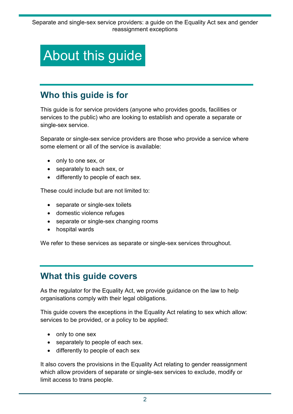## <span id="page-2-0"></span>About this guide

### <span id="page-2-1"></span>**Who this guide is for**

This guide is for service providers (anyone who provides goods, facilities or services to the public) who are looking to establish and operate a separate or single-sex service.

Separate or single-sex service providers are those who provide a service where some element or all of the service is available:

- only to one sex, or
- separately to each sex, or
- differently to people of each sex.

These could include but are not limited to:

- separate or single-sex toilets
- domestic violence refuges
- separate or single-sex changing rooms
- hospital wards

<span id="page-2-2"></span>We refer to these services as separate or single-sex services throughout.

#### **What this guide covers**

As the regulator for the Equality Act, we provide guidance on the law to help organisations comply with their legal obligations.

This guide covers the exceptions in the Equality Act relating to sex which allow: services to be provided, or a policy to be applied:

- only to one sex
- separately to people of each sex.
- differently to people of each sex

It also covers the provisions in the Equality Act relating to gender reassignment which allow providers of separate or single-sex services to exclude, modify or limit access to trans people.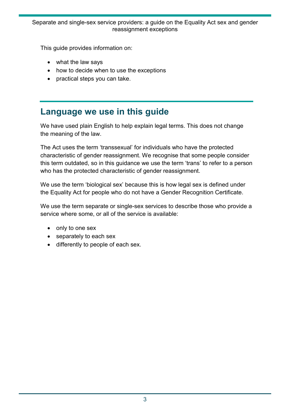#### Separate and single-sex service providers: a guide on the Equality Act sex and gender reassignment exceptions

This guide provides information on:

- what the law says
- how to decide when to use the exceptions
- <span id="page-3-0"></span>• practical steps you can take.

#### **Language we use in this guide**

We have used plain English to help explain legal terms. This does not change the meaning of the law.

The Act uses the term 'transsexual' for individuals who have the protected characteristic of gender reassignment. We recognise that some people consider this term outdated, so in this guidance we use the term 'trans' to refer to a person who has the protected characteristic of gender reassignment.

We use the term 'biological sex' because this is how legal sex is defined under the Equality Act for people who do not have a Gender Recognition Certificate.

We use the term separate or single-sex services to describe those who provide a service where some, or all of the service is available:

- only to one sex
- separately to each sex
- differently to people of each sex.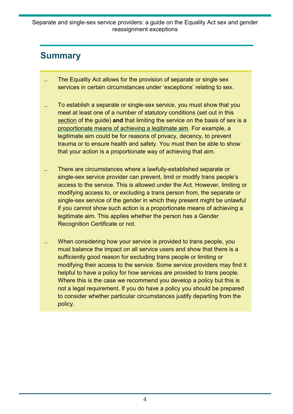### <span id="page-4-0"></span>**Summary**

- The Equality Act allows for the provision of separate or single sex services in certain circumstances under 'exceptions' relating to sex.
- ̶ To establish a separate or single-sex service, you must show that you meet at least one of a number of statutory conditions (set out in this section of the guide) **and** that limiting the service on the basis of sex is a [proportionate means of achieving a legitimate aim.](https://www.equalityhumanrights.com/en/advice-and-guidance/commonly-used-terms-equal-rights) For example, a legitimate aim could be for reasons of privacy, decency, to prevent trauma or to ensure health and safety. You must then be able to show that your action is a proportionate way of achieving that aim.
- ̶ There are circumstances where a lawfully-established separate or single-sex service provider can prevent, limit or modify trans people's access to the service. This is allowed under the Act. However, limiting or modifying access to, or excluding a trans person from, the separate or single-sex service of the gender in which they present might be unlawful if you cannot show such action is a proportionate means of achieving a legitimate aim. This applies whether the person has a Gender Recognition Certificate or not.
- When considering how your service is provided to trans people, you must balance the impact on all service users and show that there is a sufficiently good reason for excluding trans people or limiting or modifying their access to the service. Some service providers may find it helpful to have a policy for how services are provided to trans people. Where this is the case we recommend you develop a policy but this is not a legal requirement. If you do have a policy you should be prepared to consider whether particular circumstances justify departing from the policy.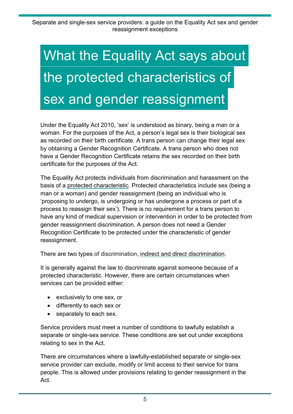# <span id="page-5-0"></span>What the Equality Act says about the protected characteristics of sex and gender reassignment

Under the Equality Act 2010, 'sex' is understood as binary, being a man or a woman. For the purposes of the Act, a person's legal sex is their biological sex as recorded on their birth certificate. A trans person can change their legal sex by obtaining a Gender Recognition Certificate. A trans person who does not have a Gender Recognition Certificate retains the sex recorded on their birth certificate for the purposes of the Act.

The Equality Act protects individuals from discrimination and harassment on the basis of a [protected characteristic.](https://www.equalityhumanrights.com/en/equality-act/protected-characteristics) Protected characteristics include sex (being a man or a woman) and gender reassignment (being an individual who is 'proposing to undergo, is undergoing or has undergone a process or part of a process to reassign their sex'). There is no requirement for a trans person to have any kind of medical supervision or intervention in order to be protected from gender reassignment discrimination. A person does not need a Gender Recognition Certificate to be protected under the characteristic of gender reassignment.

There are two types of discrimination, [indirect and direct discrimination.](https://www.equalityhumanrights.com/en/advice-and-guidance/what-direct-and-indirect-discrimination)

It is generally against the law to discriminate against someone because of a protected characteristic. However, there are certain circumstances when services can be provided either:

- exclusively to one sex, or
- differently to each sex or
- separately to each sex.

Service providers must meet a number of conditions to lawfully establish a separate or single-sex service. These conditions are set out under exceptions relating to sex in the Act.

There are circumstances where a lawfully-established separate or single-sex service provider can exclude, modify or limit access to their service for trans people. This is allowed under provisions relating to gender reassignment in the Act.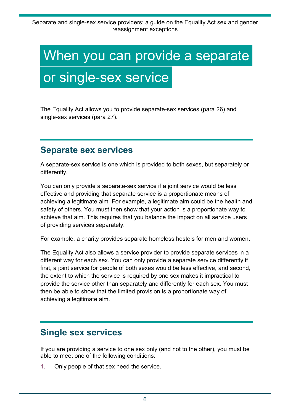## <span id="page-6-0"></span>When you can provide a separate or single-sex service

<span id="page-6-1"></span>The Equality Act allows you to provide separate-sex services (para 26) and single-sex services (para 27).

#### **Separate sex services**

A separate-sex service is one which is provided to both sexes, but separately or differently.

You can only provide a separate-sex service if a joint service would be less effective and providing that separate service is a proportionate means of achieving a legitimate aim*.* For example, a legitimate aim could be the health and safety of others. You must then show that your action is a proportionate way to achieve that aim. This requires that you balance the impact on all service users of providing services separately.

For example, a charity provides separate homeless hostels for men and women.

The Equality Act also allows a service provider to provide separate services in a different way for each sex. You can only provide a separate service differently if first, a joint service for people of both sexes would be less effective, and second, the extent to which the service is required by one sex makes it impractical to provide the service other than separately and differently for each sex. You must then be able to show that the limited provision is a proportionate way of achieving a legitimate aim.

#### <span id="page-6-2"></span>**Single sex services**

If you are providing a service to one sex only (and not to the other), you must be able to meet one of the following conditions:

1. Only people of that sex need the service.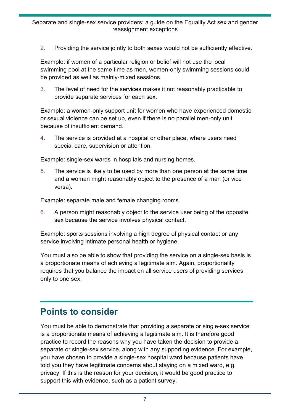2. Providing the service jointly to both sexes would not be sufficiently effective.

Example: if women of a particular religion or belief will not use the local swimming pool at the same time as men, women-only swimming sessions could be provided as well as mainly-mixed sessions.

3. The level of need for the services makes it not reasonably practicable to provide separate services for each sex.

Example: a women-only support unit for women who have experienced domestic or sexual violence can be set up, even if there is no parallel men-only unit because of insufficient demand.

4. The service is provided at a hospital or other place, where users need special care, supervision or attention.

Example: single-sex wards in hospitals and nursing homes.

5. The service is likely to be used by more than one person at the same time and a woman might reasonably object to the presence of a man (or vice versa).

Example: separate male and female changing rooms.

6. A person might reasonably object to the service user being of the opposite sex because the service involves physical contact.

Example: sports sessions involving a high degree of physical contact or any service involving intimate personal health or hygiene.

You must also be able to show that providing the service on a single-sex basis is a proportionate means of achieving a legitimate aim. Again, proportionality requires that you balance the impact on all service users of providing services only to one sex.

### <span id="page-7-0"></span>**Points to consider**

You must be able to demonstrate that providing a separate or single-sex service is a proportionate means of achieving a legitimate aim. It is therefore good practice to record the reasons why you have taken the decision to provide a separate or single-sex service, along with any supporting evidence. For example, you have chosen to provide a single-sex hospital ward because patients have told you they have legitimate concerns about staying on a mixed ward, e.g. privacy. If this is the reason for your decision, it would be good practice to support this with evidence, such as a patient survey.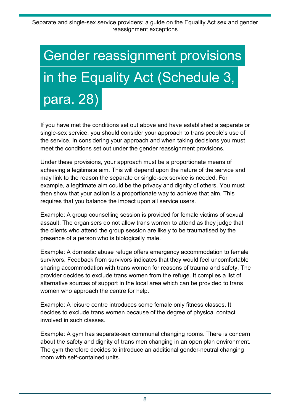# <span id="page-8-0"></span>Gender reassignment provisions in the Equality Act (Schedule 3, para. 28)

If you have met the conditions set out above and have established a separate or single-sex service, you should consider your approach to trans people's use of the service. In considering your approach and when taking decisions you must meet the conditions set out under the gender reassignment provisions.

Under these provisions, your approach must be a proportionate means of achieving a legitimate aim. This will depend upon the nature of the service and may link to the reason the separate or single-sex service is needed. For example, a legitimate aim could be the privacy and dignity of others. You must then show that your action is a proportionate way to achieve that aim. This requires that you balance the impact upon all service users.

Example: A group counselling session is provided for female victims of sexual assault. The organisers do not allow trans women to attend as they judge that the clients who attend the group session are likely to be traumatised by the presence of a person who is biologically male.

Example: A domestic abuse refuge offers emergency accommodation to female survivors. Feedback from survivors indicates that they would feel uncomfortable sharing accommodation with trans women for reasons of trauma and safety. The provider decides to exclude trans women from the refuge. It compiles a list of alternative sources of support in the local area which can be provided to trans women who approach the centre for help.

Example: A leisure centre introduces some female only fitness classes. It decides to exclude trans women because of the degree of physical contact involved in such classes.

Example: A gym has separate-sex communal changing rooms. There is concern about the safety and dignity of trans men changing in an open plan environment. The gym therefore decides to introduce an additional gender-neutral changing room with self-contained units.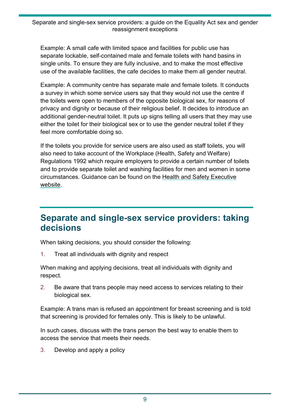Example: A small cafe with limited space and facilities for public use has separate lockable, self-contained male and female toilets with hand basins in single units. To ensure they are fully inclusive, and to make the most effective use of the available facilities, the cafe decides to make them all gender neutral.

Example: A community centre has separate male and female toilets. It conducts a survey in which some service users say that they would not use the centre if the toilets were open to members of the opposite biological sex, for reasons of privacy and dignity or because of their religious belief. It decides to introduce an additional gender-neutral toilet. It puts up signs telling all users that they may use either the toilet for their biological sex or to use the gender neutral toilet if they feel more comfortable doing so.

If the toilets you provide for service users are also used as staff toilets, you will also need to take account of the Workplace (Health, Safety and Welfare) Regulations 1992 which require employers to provide a certain number of toilets and to provide separate toilet and washing facilities for men and women in some circumstances. Guidance can be found on the [Health and Safety Executive](https://www.hse.gov.uk/index.htm)  [website.](https://www.hse.gov.uk/index.htm)

#### <span id="page-9-0"></span>**Separate and single-sex service providers: taking decisions**

When taking decisions, you should consider the following:

1. Treat all individuals with dignity and respect

When making and applying decisions, treat all individuals with dignity and respect.

2. Be aware that trans people may need access to services relating to their biological sex.

Example: A trans man is refused an appointment for breast screening and is told that screening is provided for females only. This is likely to be unlawful.

In such cases, discuss with the trans person the best way to enable them to access the service that meets their needs.

3. Develop and apply a policy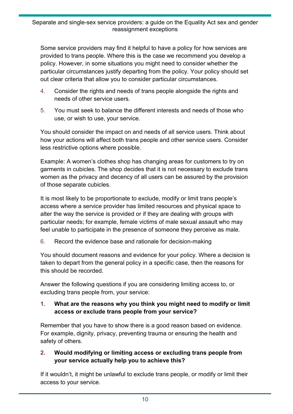Some service providers may find it helpful to have a policy for how services are provided to trans people. Where this is the case we recommend you develop a policy. However, in some situations you might need to consider whether the particular circumstances justify departing from the policy. Your policy should set out clear criteria that allow you to consider particular circumstances.

- 4. Consider the rights and needs of trans people alongside the rights and needs of other service users.
- 5. You must seek to balance the different interests and needs of those who use, or wish to use, your service.

You should consider the impact on and needs of all service users. Think about how your actions will affect both trans people and other service users. Consider less restrictive options where possible.

Example: A women's clothes shop has changing areas for customers to try on garments in cubicles. The shop decides that it is not necessary to exclude trans women as the privacy and decency of all users can be assured by the provision of those separate cubicles.

It is most likely to be proportionate to exclude, modify or limit trans people's access where a service provider has limited resources and physical space to alter the way the service is provided or if they are dealing with groups with particular needs; for example, female victims of male sexual assault who may feel unable to participate in the presence of someone they perceive as male.

6. Record the evidence base and rationale for decision-making

You should document reasons and evidence for your policy. Where a decision is taken to depart from the general policy in a specific case, then the reasons for this should be recorded.

Answer the following questions if you are considering limiting access to, or excluding trans people from, your service:

#### **1. What are the reasons why you think you might need to modify or limit access or exclude trans people from your service?**

Remember that you have to show there is a good reason based on evidence. For example, dignity, privacy, preventing trauma or ensuring the health and safety of others.

#### **2. Would modifying or limiting access or excluding trans people from your service actually help you to achieve this?**

If it wouldn't, it might be unlawful to exclude trans people, or modify or limit their access to your service.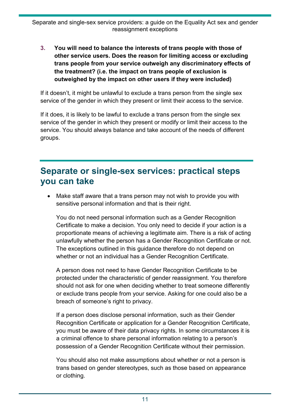**3. You will need to balance the interests of trans people with those of other service users. Does the reason for limiting access or excluding trans people from your service outweigh any discriminatory effects of the treatment? (i.e. the impact on trans people of exclusion is outweighed by the impact on other users if they were included)**

If it doesn't, it might be unlawful to exclude a trans person from the single sex service of the gender in which they present or limit their access to the service.

If it does, it is likely to be lawful to exclude a trans person from the single sex service of the gender in which they present or modify or limit their access to the service. You should always balance and take account of the needs of different groups.

#### <span id="page-11-0"></span>**Separate or single-sex services: practical steps you can take**

• Make staff aware that a trans person may not wish to provide you with sensitive personal information and that is their right.

You do not need personal information such as a Gender Recognition Certificate to make a decision. You only need to decide if your action is a proportionate means of achieving a legitimate aim. There is a risk of acting unlawfully whether the person has a Gender Recognition Certificate or not. The exceptions outlined in this guidance therefore do not depend on whether or not an individual has a Gender Recognition Certificate.

A person does not need to have Gender Recognition Certificate to be protected under the characteristic of gender reassignment. You therefore should not ask for one when deciding whether to treat someone differently or exclude trans people from your service. Asking for one could also be a breach of someone's right to privacy.

If a person does disclose personal information, such as their Gender Recognition Certificate or application for a Gender Recognition Certificate, you must be aware of their data privacy rights. In some circumstances it is a criminal offence to share personal information relating to a person's possession of a Gender Recognition Certificate without their permission.

You should also not make assumptions about whether or not a person is trans based on gender stereotypes, such as those based on appearance or clothing.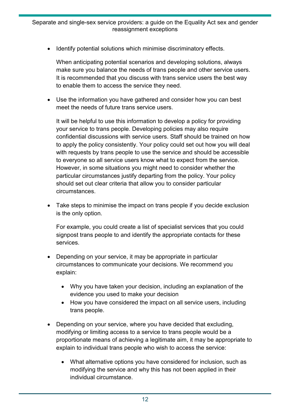Identify potential solutions which minimise discriminatory effects.

When anticipating potential scenarios and developing solutions, always make sure you balance the needs of trans people and other service users. It is recommended that you discuss with trans service users the best way to enable them to access the service they need.

• Use the information you have gathered and consider how you can best meet the needs of future trans service users.

It will be helpful to use this information to develop a policy for providing your service to trans people. Developing policies may also require confidential discussions with service users. Staff should be trained on how to apply the policy consistently. Your policy could set out how you will deal with requests by trans people to use the service and should be accessible to everyone so all service users know what to expect from the service. However, in some situations you might need to consider whether the particular circumstances justify departing from the policy. Your policy should set out clear criteria that allow you to consider particular circumstances.

• Take steps to minimise the impact on trans people if you decide exclusion is the only option.

For example, you could create a list of specialist services that you could signpost trans people to and identify the appropriate contacts for these services.

- Depending on your service, it may be appropriate in particular circumstances to communicate your decisions. We recommend you explain:
	- Why you have taken your decision, including an explanation of the evidence you used to make your decision
	- How you have considered the impact on all service users, including trans people.
- Depending on your service, where you have decided that excluding, modifying or limiting access to a service to trans people would be a proportionate means of achieving a legitimate aim, it may be appropriate to explain to individual trans people who wish to access the service:
	- What alternative options you have considered for inclusion, such as modifying the service and why this has not been applied in their individual circumstance.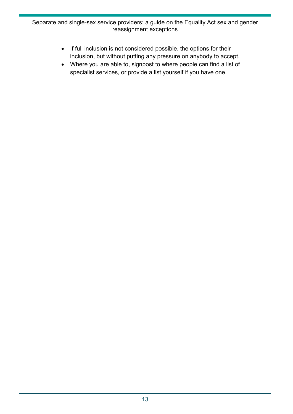#### Separate and single-sex service providers: a guide on the Equality Act sex and gender reassignment exceptions

- If full inclusion is not considered possible, the options for their inclusion, but without putting any pressure on anybody to accept.
- Where you are able to, signpost to where people can find a list of specialist services, or provide a list yourself if you have one.